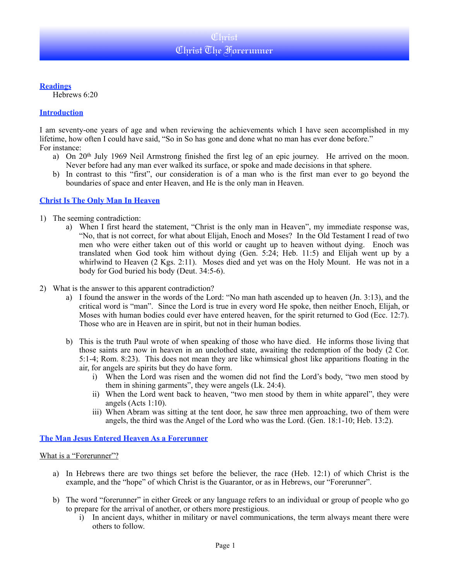

**Readings**

Hebrews 6:20

### **Introduction**

I am seventy-one years of age and when reviewing the achievements which I have seen accomplished in my lifetime, how often I could have said, "So in So has gone and done what no man has ever done before." For instance:

- a) On 20<sup>th</sup> July 1969 Neil Armstrong finished the first leg of an epic journey. He arrived on the moon. Never before had any man ever walked its surface, or spoke and made decisions in that sphere.
- b) In contrast to this "first", our consideration is of a man who is the first man ever to go beyond the boundaries of space and enter Heaven, and He is the only man in Heaven.

### **Christ Is The Only Man In Heaven**

- 1) The seeming contradiction:
	- a) When I first heard the statement, "Christ is the only man in Heaven", my immediate response was, "No, that is not correct, for what about Elijah, Enoch and Moses? In the Old Testament I read of two men who were either taken out of this world or caught up to heaven without dying. Enoch was translated when God took him without dying (Gen. 5:24; Heb. 11:5) and Elijah went up by a whirlwind to Heaven (2 Kgs. 2:11). Moses died and yet was on the Holy Mount. He was not in a body for God buried his body (Deut. 34:5-6).
- 2) What is the answer to this apparent contradiction?
	- a) I found the answer in the words of the Lord: "No man hath ascended up to heaven (Jn. 3:13), and the critical word is "man". Since the Lord is true in every word He spoke, then neither Enoch, Elijah, or Moses with human bodies could ever have entered heaven, for the spirit returned to God (Ecc. 12:7). Those who are in Heaven are in spirit, but not in their human bodies.
	- b) This is the truth Paul wrote of when speaking of those who have died. He informs those living that those saints are now in heaven in an unclothed state, awaiting the redemption of the body (2 Cor. 5:1-4; Rom. 8:23). This does not mean they are like whimsical ghost like apparitions floating in the air, for angels are spirits but they do have form.
		- i) When the Lord was risen and the women did not find the Lord's body, "two men stood by them in shining garments", they were angels (Lk. 24:4).
		- ii) When the Lord went back to heaven, "two men stood by them in white apparel", they were angels (Acts 1:10).
		- iii) When Abram was sitting at the tent door, he saw three men approaching, two of them were angels, the third was the Angel of the Lord who was the Lord. (Gen. 18:1-10; Heb. 13:2).

### **The Man Jesus Entered Heaven As a Forerunner**

### What is a "Forerunner"?

- a) In Hebrews there are two things set before the believer, the race (Heb. 12:1) of which Christ is the example, and the "hope" of which Christ is the Guarantor, or as in Hebrews, our "Forerunner".
- b) The word "forerunner" in either Greek or any language refers to an individual or group of people who go to prepare for the arrival of another, or others more prestigious.
	- i) In ancient days, whither in military or navel communications, the term always meant there were others to follow.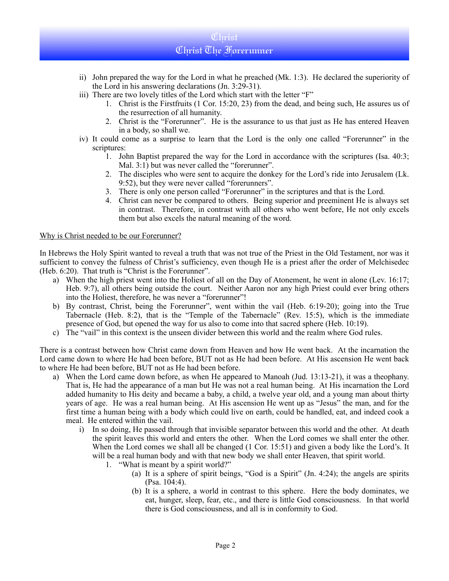# Christ Christ The Forerunner

- ii) John prepared the way for the Lord in what he preached (Mk. 1:3). He declared the superiority of the Lord in his answering declarations (Jn. 3:29-31).
- iii) There are two lovely titles of the Lord which start with the letter "F"
	- 1. Christ is the Firstfruits (1 Cor. 15:20, 23) from the dead, and being such, He assures us of the resurrection of all humanity.
	- 2. Christ is the "Forerunner". He is the assurance to us that just as He has entered Heaven in a body, so shall we.
- iv) It could come as a surprise to learn that the Lord is the only one called "Forerunner" in the scriptures:
	- 1. John Baptist prepared the way for the Lord in accordance with the scriptures (Isa. 40:3; Mal. 3:1) but was never called the "forerunner".
	- 2. The disciples who were sent to acquire the donkey for the Lord's ride into Jerusalem (Lk. 9:52), but they were never called "forerunners".
	- 3. There is only one person called "Forerunner" in the scriptures and that is the Lord.
	- 4. Christ can never be compared to others. Being superior and preeminent He is always set in contrast. Therefore, in contrast with all others who went before, He not only excels them but also excels the natural meaning of the word.

### Why is Christ needed to be our Forerunner?

In Hebrews the Holy Spirit wanted to reveal a truth that was not true of the Priest in the Old Testament, nor was it sufficient to convey the fulness of Christ's sufficiency, even though He is a priest after the order of Melchisedec (Heb. 6:20). That truth is "Christ is the Forerunner".

- a) When the high priest went into the Holiest of all on the Day of Atonement, he went in alone (Lev. 16:17; Heb. 9:7), all others being outside the court. Neither Aaron nor any high Priest could ever bring others into the Holiest, therefore, he was never a "forerunner"!
- b) By contrast, Christ, being the Forerunner", went within the vail (Heb. 6:19-20); going into the True Tabernacle (Heb. 8:2), that is the "Temple of the Tabernacle" (Rev. 15:5), which is the immediate presence of God, but opened the way for us also to come into that sacred sphere (Heb. 10:19).
- c) The "vail" in this context is the unseen divider between this world and the realm where God rules.

There is a contrast between how Christ came down from Heaven and how He went back. At the incarnation the Lord came down to where He had been before, BUT not as He had been before. At His ascension He went back to where He had been before, BUT not as He had been before.

- a) When the Lord came down before, as when He appeared to Manoah (Jud. 13:13-21), it was a theophany. That is, He had the appearance of a man but He was not a real human being. At His incarnation the Lord added humanity to His deity and became a baby, a child, a twelve year old, and a young man about thirty years of age. He was a real human being. At His ascension He went up as "Jesus" the man, and for the first time a human being with a body which could live on earth, could be handled, eat, and indeed cook a meal. He entered within the vail.
	- i) In so doing, He passed through that invisible separator between this world and the other. At death the spirit leaves this world and enters the other. When the Lord comes we shall enter the other. When the Lord comes we shall all be changed (1 Cor. 15:51) and given a body like the Lord's. It will be a real human body and with that new body we shall enter Heaven, that spirit world.
		- 1. "What is meant by a spirit world?"
			- (a) It is a sphere of spirit beings, "God is a Spirit" (Jn. 4:24); the angels are spirits (Psa. 104:4).
			- (b) It is a sphere, a world in contrast to this sphere. Here the body dominates, we eat, hunger, sleep, fear, etc., and there is little God consciousness. In that world there is God consciousness, and all is in conformity to God.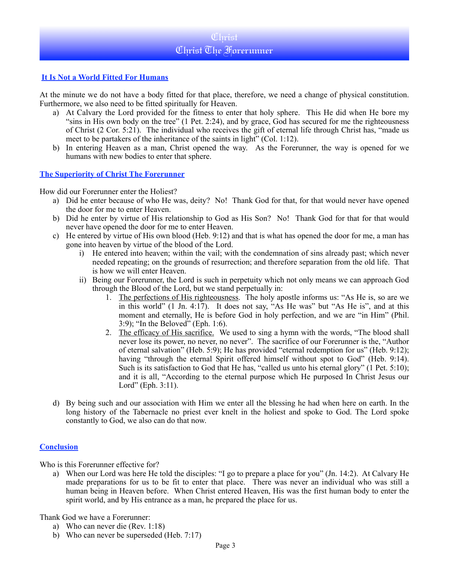# **Christ** Christ The Forerunner

## **It Is Not a World Fitted For Humans**

At the minute we do not have a body fitted for that place, therefore, we need a change of physical constitution. Furthermore, we also need to be fitted spiritually for Heaven.

- a) At Calvary the Lord provided for the fitness to enter that holy sphere. This He did when He bore my "sins in His own body on the tree" (1 Pet. 2:24), and by grace, God has secured for me the righteousness of Christ (2 Cor. 5:21). The individual who receives the gift of eternal life through Christ has, "made us meet to be partakers of the inheritance of the saints in light" (Col. 1:12).
- b) In entering Heaven as a man, Christ opened the way. As the Forerunner, the way is opened for we humans with new bodies to enter that sphere.

### **The Superiority of Christ The Forerunner**

How did our Forerunner enter the Holiest?

- a) Did he enter because of who He was, deity? No! Thank God for that, for that would never have opened the door for me to enter Heaven.
- b) Did he enter by virtue of His relationship to God as His Son? No! Thank God for that for that would never have opened the door for me to enter Heaven.
- c) He entered by virtue of His own blood (Heb. 9:12) and that is what has opened the door for me, a man has gone into heaven by virtue of the blood of the Lord.
	- i) He entered into heaven; within the vail; with the condemnation of sins already past; which never needed repeating; on the grounds of resurrection; and therefore separation from the old life. That is how we will enter Heaven.
	- ii) Being our Forerunner, the Lord is such in perpetuity which not only means we can approach God through the Blood of the Lord, but we stand perpetually in:
		- 1. The perfections of His righteousness. The holy apostle informs us: "As He is, so are we in this world" (1 Jn. 4:17). It does not say, "As He was" but "As He is", and at this moment and eternally, He is before God in holy perfection, and we are "in Him" (Phil. 3:9); "In the Beloved" (Eph. 1:6).
		- 2. The efficacy of His sacrifice. We used to sing a hymn with the words, "The blood shall never lose its power, no never, no never". The sacrifice of our Forerunner is the, "Author of eternal salvation" (Heb. 5:9); He has provided "eternal redemption for us" (Heb. 9:12); having "through the eternal Spirit offered himself without spot to God" (Heb. 9:14). Such is its satisfaction to God that He has, "called us unto his eternal glory" (1 Pet. 5:10); and it is all, "According to the eternal purpose which He purposed In Christ Jesus our Lord" (Eph. 3:11).
- d) By being such and our association with Him we enter all the blessing he had when here on earth. In the long history of the Tabernacle no priest ever knelt in the holiest and spoke to God. The Lord spoke constantly to God, we also can do that now.

### **Conclusion**

Who is this Forerunner effective for?

a) When our Lord was here He told the disciples: "I go to prepare a place for you" (Jn. 14:2). At Calvary He made preparations for us to be fit to enter that place. There was never an individual who was still a human being in Heaven before. When Christ entered Heaven, His was the first human body to enter the spirit world, and by His entrance as a man, he prepared the place for us.

Thank God we have a Forerunner:

- a) Who can never die (Rev. 1:18)
- b) Who can never be superseded (Heb. 7:17)